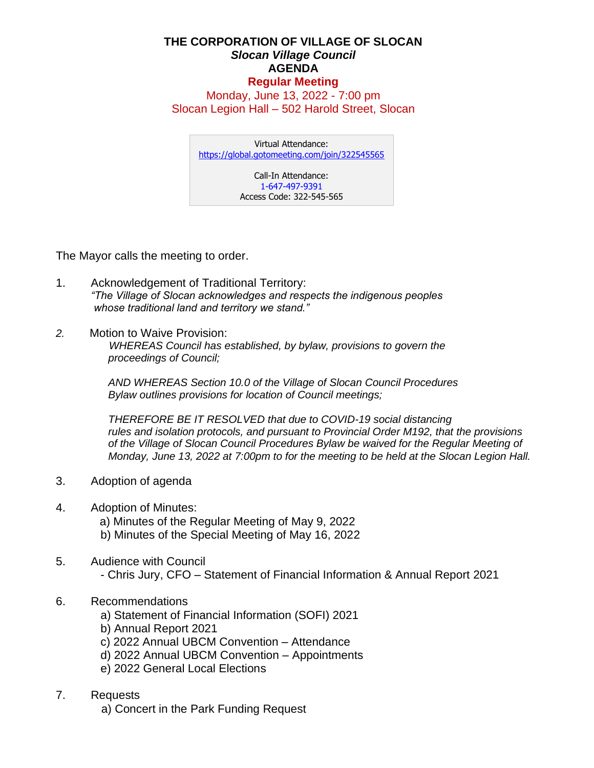## **THE CORPORATION OF VILLAGE OF SLOCAN** *Slocan Village Council*  **AGENDA Regular Meeting**

Monday, June 13, 2022 - 7:00 pm Slocan Legion Hall – 502 Harold Street, Slocan

Virtual Attendance: <https://global.gotomeeting.com/join/322545565>

Call-In Attendance: 1-647-497-9391 Access Code: 322-545-565

The Mayor calls the meeting to order.

- 1. Acknowledgement of Traditional Territory: *"The Village of Slocan acknowledges and respects the indigenous peoples whose traditional land and territory we stand."*
- *2.* Motion to Waive Provision:  *WHEREAS Council has established, by bylaw, provisions to govern the proceedings of Council;*

*AND WHEREAS Section 10.0 of the Village of Slocan Council Procedures Bylaw outlines provisions for location of Council meetings;*

*THEREFORE BE IT RESOLVED that due to COVID-19 social distancing rules and isolation protocols, and pursuant to Provincial Order M192, that the provisions of the Village of Slocan Council Procedures Bylaw be waived for the Regular Meeting of Monday, June 13, 2022 at 7:00pm to for the meeting to be held at the Slocan Legion Hall.*

- 3. Adoption of agenda
- 4. Adoption of Minutes:

a) Minutes of the Regular Meeting of May 9, 2022

- b) Minutes of the Special Meeting of May 16, 2022
- 5. Audience with Council - Chris Jury, CFO – Statement of Financial Information & Annual Report 2021
- 6. Recommendations
	- a) Statement of Financial Information (SOFI) 2021
	- b) Annual Report 2021
	- c) 2022 Annual UBCM Convention Attendance
	- d) 2022 Annual UBCM Convention Appointments
	- e) 2022 General Local Elections
- 7. Requests

a) Concert in the Park Funding Request